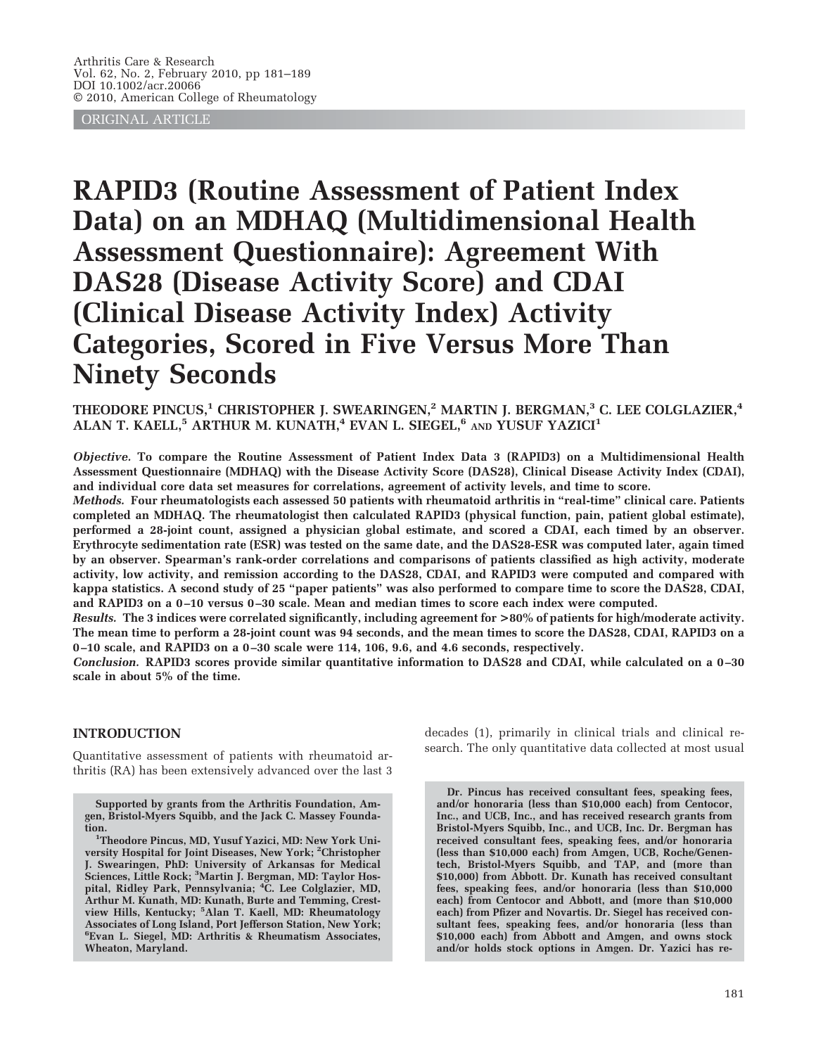ORIGINAL ARTICLE

# **RAPID3 (Routine Assessment of Patient Index Data) on an MDHAQ (Multidimensional Health Assessment Questionnaire): Agreement With DAS28 (Disease Activity Score) and CDAI (Clinical Disease Activity Index) Activity Categories, Scored in Five Versus More Than Ninety Seconds**

# **THEODORE PINCUS,1 CHRISTOPHER J. SWEARINGEN,2 MARTIN J. BERGMAN,3 C. LEE COLGLAZIER,4 ALAN T. KAELL,5 ARTHUR M. KUNATH,4 EVAN L. SIEGEL,6 AND YUSUF YAZICI1**

*Objective.* **To compare the Routine Assessment of Patient Index Data 3 (RAPID3) on a Multidimensional Health Assessment Questionnaire (MDHAQ) with the Disease Activity Score (DAS28), Clinical Disease Activity Index (CDAI), and individual core data set measures for correlations, agreement of activity levels, and time to score.**

*Methods.* **Four rheumatologists each assessed 50 patients with rheumatoid arthritis in "real-time" clinical care. Patients completed an MDHAQ. The rheumatologist then calculated RAPID3 (physical function, pain, patient global estimate), performed a 28-joint count, assigned a physician global estimate, and scored a CDAI, each timed by an observer. Erythrocyte sedimentation rate (ESR) was tested on the same date, and the DAS28-ESR was computed later, again timed by an observer. Spearman's rank-order correlations and comparisons of patients classified as high activity, moderate activity, low activity, and remission according to the DAS28, CDAI, and RAPID3 were computed and compared with kappa statistics. A second study of 25 "paper patients" was also performed to compare time to score the DAS28, CDAI, and RAPID3 on a 0 –10 versus 0 –30 scale. Mean and median times to score each index were computed.**

*Results.* **The 3 indices were correlated significantly, including agreement for >80% of patients for high/moderate activity. The mean time to perform a 28-joint count was 94 seconds, and the mean times to score the DAS28, CDAI, RAPID3 on a 0 –10 scale, and RAPID3 on a 0 –30 scale were 114, 106, 9.6, and 4.6 seconds, respectively.**

*Conclusion.* **RAPID3 scores provide similar quantitative information to DAS28 and CDAI, while calculated on a 0 –30 scale in about 5% of the time.**

# **INTRODUCTION**

Quantitative assessment of patients with rheumatoid arthritis (RA) has been extensively advanced over the last 3

**Supported by grants from the Arthritis Foundation, Amgen, Bristol-Myers Squibb, and the Jack C. Massey Foundation. <sup>1</sup>**

<sup>1</sup>Theodore Pincus, MD, Yusuf Yazici, MD: New York Uni**versity Hospital for Joint Diseases, New York; <sup>2</sup> Christopher J. Swearingen, PhD: University of Arkansas for Medical Sciences, Little Rock; <sup>3</sup> Martin J. Bergman, MD: Taylor Hospital, Ridley Park, Pennsylvania; <sup>4</sup> C. Lee Colglazier, MD, Arthur M. Kunath, MD: Kunath, Burte and Temming, Crestview Hills, Kentucky; <sup>5</sup> Alan T. Kaell, MD: Rheumatology Associates of Long Island, Port Jefferson Station, New York; 6 Evan L. Siegel, MD: Arthritis & Rheumatism Associates, Wheaton, Maryland.**

decades (1), primarily in clinical trials and clinical research. The only quantitative data collected at most usual

**Dr. Pincus has received consultant fees, speaking fees, and/or honoraria (less than \$10,000 each) from Centocor, Inc., and UCB, Inc., and has received research grants from Bristol-Myers Squibb, Inc., and UCB, Inc. Dr. Bergman has received consultant fees, speaking fees, and/or honoraria (less than \$10,000 each) from Amgen, UCB, Roche/Genentech, Bristol-Myers Squibb, and TAP, and (more than \$10,000) from Abbott. Dr. Kunath has received consultant fees, speaking fees, and/or honoraria (less than \$10,000 each) from Centocor and Abbott, and (more than \$10,000 each) from Pfizer and Novartis. Dr. Siegel has received consultant fees, speaking fees, and/or honoraria (less than \$10,000 each) from Abbott and Amgen, and owns stock and/or holds stock options in Amgen. Dr. Yazici has re-**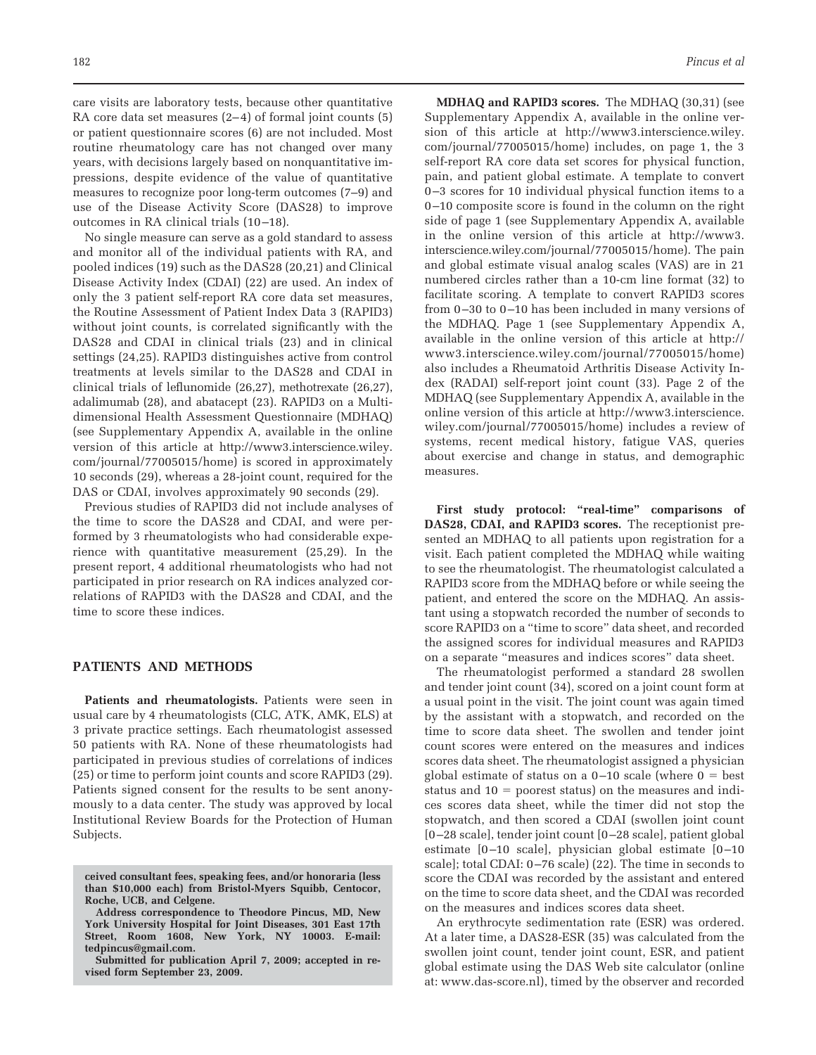care visits are laboratory tests, because other quantitative RA core data set measures  $(2-4)$  of formal joint counts  $(5)$ or patient questionnaire scores (6) are not included. Most routine rheumatology care has not changed over many years, with decisions largely based on nonquantitative impressions, despite evidence of the value of quantitative measures to recognize poor long-term outcomes (7–9) and use of the Disease Activity Score (DAS28) to improve outcomes in RA clinical trials (10 –18).

No single measure can serve as a gold standard to assess and monitor all of the individual patients with RA, and pooled indices (19) such as the DAS28 (20,21) and Clinical Disease Activity Index (CDAI) (22) are used. An index of only the 3 patient self-report RA core data set measures, the Routine Assessment of Patient Index Data 3 (RAPID3) without joint counts, is correlated significantly with the DAS28 and CDAI in clinical trials (23) and in clinical settings (24,25). RAPID3 distinguishes active from control treatments at levels similar to the DAS28 and CDAI in clinical trials of leflunomide (26,27), methotrexate (26,27), adalimumab (28), and abatacept (23). RAPID3 on a Multidimensional Health Assessment Questionnaire (MDHAQ) (see Supplementary Appendix A, available in the online version of this article at http://www3.interscience.wiley. com/journal/77005015/home) is scored in approximately 10 seconds (29), whereas a 28-joint count, required for the DAS or CDAI, involves approximately 90 seconds (29).

Previous studies of RAPID3 did not include analyses of the time to score the DAS28 and CDAI, and were performed by 3 rheumatologists who had considerable experience with quantitative measurement (25,29). In the present report, 4 additional rheumatologists who had not participated in prior research on RA indices analyzed correlations of RAPID3 with the DAS28 and CDAI, and the time to score these indices.

# **PATIENTS AND METHODS**

**Patients and rheumatologists.** Patients were seen in usual care by 4 rheumatologists (CLC, ATK, AMK, ELS) at 3 private practice settings. Each rheumatologist assessed 50 patients with RA. None of these rheumatologists had participated in previous studies of correlations of indices (25) or time to perform joint counts and score RAPID3 (29). Patients signed consent for the results to be sent anonymously to a data center. The study was approved by local Institutional Review Boards for the Protection of Human Subjects.

**MDHAQ and RAPID3 scores.** The MDHAQ (30,31) (see Supplementary Appendix A, available in the online version of this article at http://www3.interscience.wiley. com/journal/77005015/home) includes, on page 1, the 3 self-report RA core data set scores for physical function, pain, and patient global estimate. A template to convert 0 –3 scores for 10 individual physical function items to a 0 –10 composite score is found in the column on the right side of page 1 (see Supplementary Appendix A, available in the online version of this article at http://www3. interscience.wiley.com/journal/77005015/home). The pain and global estimate visual analog scales (VAS) are in 21 numbered circles rather than a 10-cm line format (32) to facilitate scoring. A template to convert RAPID3 scores from 0-30 to 0-10 has been included in many versions of the MDHAQ. Page 1 (see Supplementary Appendix A, available in the online version of this article at http:// www3.interscience.wiley.com/journal/77005015/home) also includes a Rheumatoid Arthritis Disease Activity Index (RADAI) self-report joint count (33). Page 2 of the MDHAQ (see Supplementary Appendix A, available in the online version of this article at http://www3.interscience. wiley.com/journal/77005015/home) includes a review of systems, recent medical history, fatigue VAS, queries about exercise and change in status, and demographic measures.

**First study protocol: "real-time" comparisons of DAS28, CDAI, and RAPID3 scores.** The receptionist presented an MDHAQ to all patients upon registration for a visit. Each patient completed the MDHAQ while waiting to see the rheumatologist. The rheumatologist calculated a RAPID3 score from the MDHAQ before or while seeing the patient, and entered the score on the MDHAQ. An assistant using a stopwatch recorded the number of seconds to score RAPID3 on a "time to score" data sheet, and recorded the assigned scores for individual measures and RAPID3 on a separate "measures and indices scores" data sheet.

The rheumatologist performed a standard 28 swollen and tender joint count (34), scored on a joint count form at a usual point in the visit. The joint count was again timed by the assistant with a stopwatch, and recorded on the time to score data sheet. The swollen and tender joint count scores were entered on the measures and indices scores data sheet. The rheumatologist assigned a physician global estimate of status on a  $0-10$  scale (where  $0 = \text{best}$ status and  $10 =$  poorest status) on the measures and indices scores data sheet, while the timer did not stop the stopwatch, and then scored a CDAI (swollen joint count [0 –28 scale], tender joint count [0 –28 scale], patient global estimate [0-10 scale], physician global estimate [0-10 scale]; total CDAI: 0 –76 scale) (22). The time in seconds to score the CDAI was recorded by the assistant and entered on the time to score data sheet, and the CDAI was recorded on the measures and indices scores data sheet.

An erythrocyte sedimentation rate (ESR) was ordered. At a later time, a DAS28-ESR (35) was calculated from the swollen joint count, tender joint count, ESR, and patient global estimate using the DAS Web site calculator (online at: www.das-score.nl), timed by the observer and recorded

**ceived consultant fees, speaking fees, and/or honoraria (less than \$10,000 each) from Bristol-Myers Squibb, Centocor, Roche, UCB, and Celgene.**

**Address correspondence to Theodore Pincus, MD, New York University Hospital for Joint Diseases, 301 East 17th Street, Room 1608, New York, NY 10003. E-mail: tedpincus@gmail.com.**

**Submitted for publication April 7, 2009; accepted in revised form September 23, 2009.**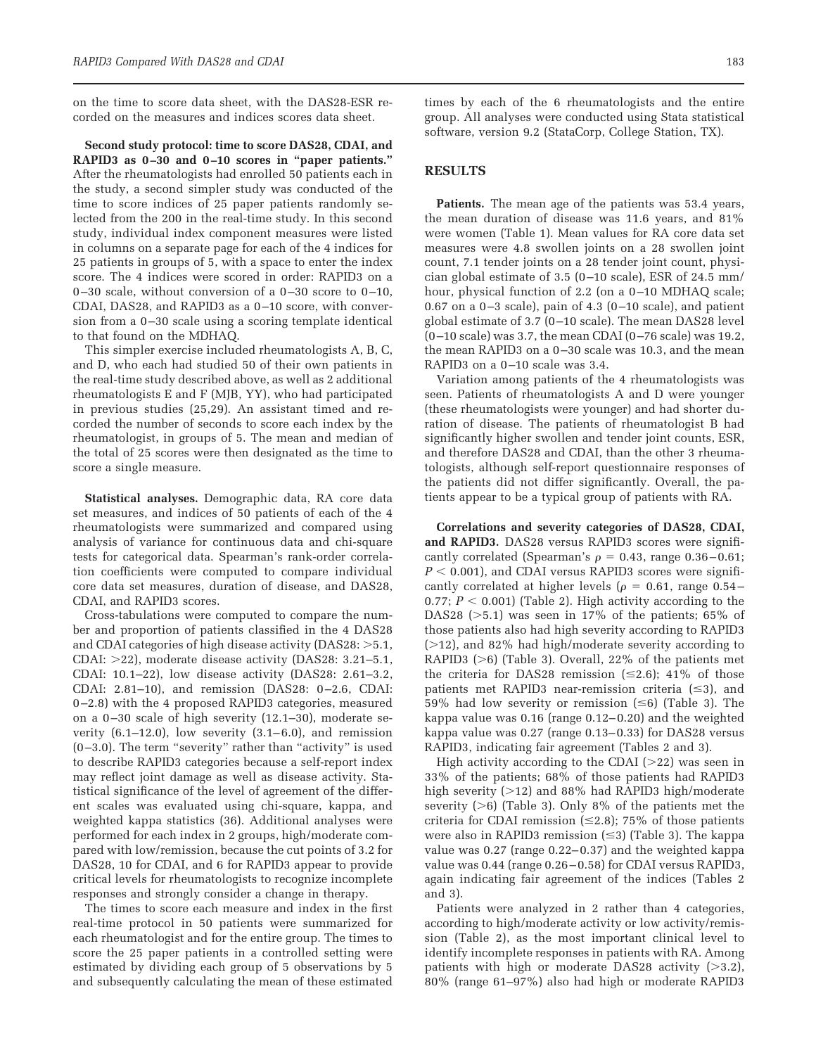on the time to score data sheet, with the DAS28-ESR recorded on the measures and indices scores data sheet.

**Second study protocol: time to score DAS28, CDAI, and RAPID3 as 0 –30 and 0 –10 scores in "paper patients."** After the rheumatologists had enrolled 50 patients each in the study, a second simpler study was conducted of the time to score indices of 25 paper patients randomly selected from the 200 in the real-time study. In this second study, individual index component measures were listed in columns on a separate page for each of the 4 indices for 25 patients in groups of 5, with a space to enter the index score. The 4 indices were scored in order: RAPID3 on a  $0-30$  scale, without conversion of a  $0-30$  score to  $0-10$ , CDAI, DAS28, and RAPID3 as a 0-10 score, with conversion from a 0-30 scale using a scoring template identical to that found on the MDHAQ.

This simpler exercise included rheumatologists A, B, C, and D, who each had studied 50 of their own patients in the real-time study described above, as well as 2 additional rheumatologists E and F (MJB, YY), who had participated in previous studies (25,29). An assistant timed and recorded the number of seconds to score each index by the rheumatologist, in groups of 5. The mean and median of the total of 25 scores were then designated as the time to score a single measure.

**Statistical analyses.** Demographic data, RA core data set measures, and indices of 50 patients of each of the 4 rheumatologists were summarized and compared using analysis of variance for continuous data and chi-square tests for categorical data. Spearman's rank-order correlation coefficients were computed to compare individual core data set measures, duration of disease, and DAS28, CDAI, and RAPID3 scores.

Cross-tabulations were computed to compare the number and proportion of patients classified in the 4 DAS28 and CDAI categories of high disease activity (DAS28:  $>$ 5.1,  $\,$ CDAI: -22), moderate disease activity (DAS28: 3.21–5.1, CDAI: 10.1–22), low disease activity (DAS28: 2.61–3.2, CDAI: 2.81–10), and remission (DAS28: 0 –2.6, CDAI: 0 –2.8) with the 4 proposed RAPID3 categories, measured on a  $0-30$  scale of high severity  $(12.1-30)$ , moderate severity  $(6.1-12.0)$ , low severity  $(3.1-6.0)$ , and remission (0 –3.0). The term "severity" rather than "activity" is used to describe RAPID3 categories because a self-report index may reflect joint damage as well as disease activity. Statistical significance of the level of agreement of the different scales was evaluated using chi-square, kappa, and weighted kappa statistics (36). Additional analyses were performed for each index in 2 groups, high/moderate compared with low/remission, because the cut points of 3.2 for DAS28, 10 for CDAI, and 6 for RAPID3 appear to provide critical levels for rheumatologists to recognize incomplete responses and strongly consider a change in therapy.

The times to score each measure and index in the first real-time protocol in 50 patients were summarized for each rheumatologist and for the entire group. The times to score the 25 paper patients in a controlled setting were estimated by dividing each group of 5 observations by 5 and subsequently calculating the mean of these estimated times by each of the 6 rheumatologists and the entire group. All analyses were conducted using Stata statistical software, version 9.2 (StataCorp, College Station, TX).

### **RESULTS**

Patients. The mean age of the patients was 53.4 years, the mean duration of disease was 11.6 years, and 81% were women (Table 1). Mean values for RA core data set measures were 4.8 swollen joints on a 28 swollen joint count, 7.1 tender joints on a 28 tender joint count, physician global estimate of  $3.5$  (0-10 scale), ESR of  $24.5$  mm/ hour, physical function of 2.2 (on a 0-10 MDHAQ scale; 0.67 on a  $0-3$  scale), pain of 4.3  $(0-10 \text{ scale})$ , and patient global estimate of 3.7 (0 –10 scale). The mean DAS28 level  $(0-10 \text{ scale})$  was 3.7, the mean CDAI  $(0-76 \text{ scale})$  was 19.2, the mean RAPID3 on a 0-30 scale was 10.3, and the mean RAPID3 on a 0-10 scale was 3.4.

Variation among patients of the 4 rheumatologists was seen. Patients of rheumatologists A and D were younger (these rheumatologists were younger) and had shorter duration of disease. The patients of rheumatologist B had significantly higher swollen and tender joint counts, ESR, and therefore DAS28 and CDAI, than the other 3 rheumatologists, although self-report questionnaire responses of the patients did not differ significantly. Overall, the patients appear to be a typical group of patients with RA.

**Correlations and severity categories of DAS28, CDAI, and RAPID3.** DAS28 versus RAPID3 scores were significantly correlated (Spearman's  $\rho = 0.43$ , range 0.36-0.61;  $P < 0.001$ ), and CDAI versus RAPID3 scores were significantly correlated at higher levels ( $\rho = 0.61$ , range 0.54 – 0.77;  $P < 0.001$ ) (Table 2). High activity according to the DAS28 (-5.1) was seen in 17% of the patients; 65% of those patients also had high severity according to RAPID3  $(>=12)$ , and 82% had high/moderate severity according to RAPID3 (>6) (Table 3). Overall, 22% of the patients met the criteria for DAS28 remission  $(\leq 2.6)$ ; 41% of those patients met RAPID3 near-remission criteria  $(\leq 3)$ , and  $59\%$  had low severity or remission ( $\leq 6$ ) (Table 3). The kappa value was 0.16 (range 0.12– 0.20) and the weighted kappa value was 0.27 (range 0.13-0.33) for DAS28 versus RAPID3, indicating fair agreement (Tables 2 and 3).

High activity according to the CDAI  $(>22)$  was seen in 33% of the patients; 68% of those patients had RAPID3 high severity (-12) and 88% had RAPID3 high/moderate severity  $(>6)$  (Table 3). Only 8% of the patients met the criteria for CDAI remission  $(\leq 2.8)$ ; 75% of those patients were also in RAPID3 remission ( $\leq$ 3) (Table 3). The kappa value was 0.27 (range 0.22– 0.37) and the weighted kappa value was 0.44 (range 0.26 – 0.58) for CDAI versus RAPID3, again indicating fair agreement of the indices (Tables 2 and 3).

Patients were analyzed in 2 rather than 4 categories, according to high/moderate activity or low activity/remission (Table 2), as the most important clinical level to identify incomplete responses in patients with RA. Among patients with high or moderate DAS28 activity (>3.2), 80% (range 61–97%) also had high or moderate RAPID3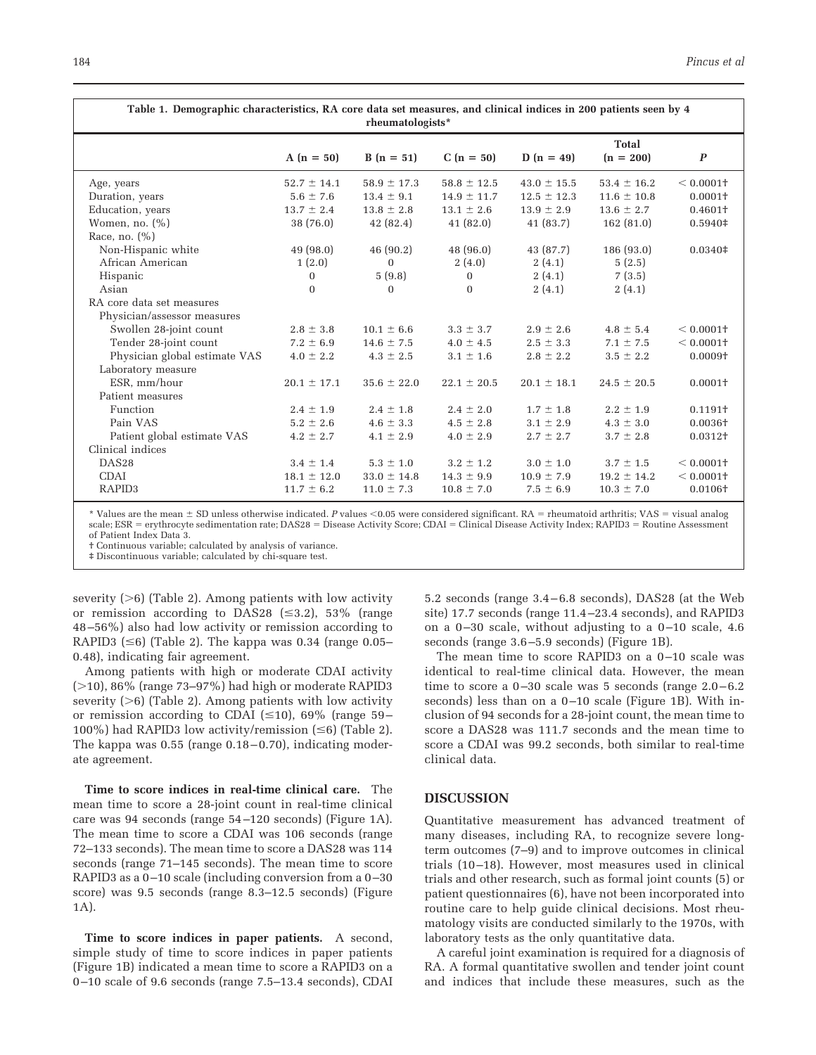| Table 1. Demographic characteristics, RA core data set measures, and clinical indices in 200 patients seen by 4<br>rheumatologists* |                 |                 |                 |                 |                      |                     |  |  |
|-------------------------------------------------------------------------------------------------------------------------------------|-----------------|-----------------|-----------------|-----------------|----------------------|---------------------|--|--|
|                                                                                                                                     | $A(n = 50)$     | $B(n = 51)$     | $C(n = 50)$     | $D(n = 49)$     | Total<br>$(n = 200)$ | $\boldsymbol{P}$    |  |  |
| Age, years                                                                                                                          | $52.7 \pm 14.1$ | $58.9 \pm 17.3$ | $58.8 \pm 12.5$ | $43.0 \pm 15.5$ | $53.4 \pm 16.2$      | $< 0.0001$ +        |  |  |
| Duration, years                                                                                                                     | $5.6 \pm 7.6$   | $13.4 \pm 9.1$  | $14.9 \pm 11.7$ | $12.5 \pm 12.3$ | $11.6 \pm 10.8$      | $0.0001+$           |  |  |
| Education, years                                                                                                                    | $13.7 \pm 2.4$  | $13.8 \pm 2.8$  | $13.1 \pm 2.6$  | $13.9 \pm 2.9$  | $13.6 \pm 2.7$       | $0.4601+$           |  |  |
| Women, no. $(\%)$                                                                                                                   | 38 (76.0)       | 42(82.4)        | 41(82.0)        | 41(83.7)        | 162(81.0)            | $0.5940\ddagger$    |  |  |
| Race, no. $(\%)$                                                                                                                    |                 |                 |                 |                 |                      |                     |  |  |
| Non-Hispanic white                                                                                                                  | 49(98.0)        | 46 (90.2)       | 48 (96.0)       | 43 (87.7)       | 186 (93.0)           | $0.0340\ddagger$    |  |  |
| African American                                                                                                                    | 1(2.0)          | $\Omega$        | 2(4.0)          | 2(4.1)          | 5(2.5)               |                     |  |  |
| Hispanic                                                                                                                            | $\mathbf{0}$    | 5(9.8)          | $\mathbf{0}$    | 2(4.1)          | 7(3.5)               |                     |  |  |
| Asian                                                                                                                               | $\mathbf{0}$    | $\Omega$        | $\mathbf{0}$    | 2(4.1)          | 2(4.1)               |                     |  |  |
| RA core data set measures                                                                                                           |                 |                 |                 |                 |                      |                     |  |  |
| Physician/assessor measures                                                                                                         |                 |                 |                 |                 |                      |                     |  |  |
| Swollen 28-joint count                                                                                                              | $2.8 \pm 3.8$   | $10.1 \pm 6.6$  | $3.3 \pm 3.7$   | $2.9 \pm 2.6$   | $4.8 \pm 5.4$        | $< 0.0001$ +        |  |  |
| Tender 28-joint count                                                                                                               | $7.2 \pm 6.9$   | $14.6 \pm 7.5$  | $4.0 \pm 4.5$   | $2.5 \pm 3.3$   | $7.1 \pm 7.5$        | $< 0.0001$ +        |  |  |
| Physician global estimate VAS                                                                                                       | $4.0 \pm 2.2$   | $4.3 \pm 2.5$   | $3.1 \pm 1.6$   | $2.8 \pm 2.2$   | $3.5 \pm 2.2$        | $0.0009+$           |  |  |
| Laboratory measure                                                                                                                  |                 |                 |                 |                 |                      |                     |  |  |
| ESR, mm/hour                                                                                                                        | $20.1 \pm 17.1$ | $35.6 \pm 22.0$ | $22.1 \pm 20.5$ | $20.1 \pm 18.1$ | $24.5 \pm 20.5$      | $0.0001+$           |  |  |
| Patient measures                                                                                                                    |                 |                 |                 |                 |                      |                     |  |  |
| Function                                                                                                                            | $2.4 \pm 1.9$   | $2.4 \pm 1.8$   | $2.4 \pm 2.0$   | $1.7 \pm 1.8$   | $2.2 \pm 1.9$        | 0.1191 <sup>†</sup> |  |  |
| Pain VAS                                                                                                                            | $5.2 \pm 2.6$   | $4.6 \pm 3.3$   | $4.5 \pm 2.8$   | $3.1 \pm 2.9$   | $4.3 \pm 3.0$        | $0.0036+$           |  |  |
| Patient global estimate VAS                                                                                                         | $4.2 \pm 2.7$   | $4.1 \pm 2.9$   | $4.0 \pm 2.9$   | $2.7 \pm 2.7$   | $3.7 \pm 2.8$        | 0.0312+             |  |  |
| Clinical indices                                                                                                                    |                 |                 |                 |                 |                      |                     |  |  |
| DAS <sub>28</sub>                                                                                                                   | $3.4 \pm 1.4$   | $5.3 \pm 1.0$   | $3.2 \pm 1.2$   | $3.0 \pm 1.0$   | $3.7 \pm 1.5$        | $< 0.0001$ +        |  |  |
| <b>CDAI</b>                                                                                                                         | $18.1 \pm 12.0$ | $33.0 \pm 14.8$ | $14.3 \pm 9.9$  | $10.9 \pm 7.9$  | $19.2 \pm 14.2$      | $< 0.0001$ +        |  |  |
| RAPID <sub>3</sub>                                                                                                                  | $11.7 \pm 6.2$  | $11.0 \pm 7.3$  | $10.8 \pm 7.0$  | $7.5 \pm 6.9$   | $10.3 \pm 7.0$       | $0.0106+$           |  |  |

\* Values are the mean  $\pm$  SD unless otherwise indicated. *P* values <0.05 were considered significant. RA = rheumatoid arthritis; VAS = visual analog scale; ESR = erythrocyte sedimentation rate; DAS28 = Disease Activity Score; CDAI = Clinical Disease Activity Index; RAPID3 = Routine Assessment

of Patient Index Data 3.

† Continuous variable; calculated by analysis of variance. ‡ Discontinuous variable; calculated by chi-square test.

severity (>6) (Table 2). Among patients with low activity or remission according to  $DAS28 \leq 3.2$ , 53% (range 48 –56%) also had low activity or remission according to RAPID3  $(\leq 6)$  (Table 2). The kappa was 0.34 (range 0.05– 0.48), indicating fair agreement.

Among patients with high or moderate CDAI activity  $(>10)$ , 86% (range 73–97%) had high or moderate RAPID3 severity (>6) (Table 2). Among patients with low activity or remission according to CDAI  $(\leq 10)$ , 69% (range 59– 100%) had RAPID3 low activity/remission  $(\leq 6)$  (Table 2). The kappa was  $0.55$  (range  $0.18 - 0.70$ ), indicating moderate agreement.

**Time to score indices in real-time clinical care.** The mean time to score a 28-joint count in real-time clinical care was 94 seconds (range 54 –120 seconds) (Figure 1A). The mean time to score a CDAI was 106 seconds (range 72–133 seconds). The mean time to score a DAS28 was 114 seconds (range 71–145 seconds). The mean time to score RAPID3 as a 0-10 scale (including conversion from a 0-30 score) was 9.5 seconds (range 8.3–12.5 seconds) (Figure 1A).

**Time to score indices in paper patients.** A second, simple study of time to score indices in paper patients (Figure 1B) indicated a mean time to score a RAPID3 on a 0 –10 scale of 9.6 seconds (range 7.5–13.4 seconds), CDAI 5.2 seconds (range 3.4 – 6.8 seconds), DAS28 (at the Web site) 17.7 seconds (range 11.4 –23.4 seconds), and RAPID3 on a  $0-30$  scale, without adjusting to a  $0-10$  scale, 4.6 seconds (range 3.6 –5.9 seconds) (Figure 1B).

The mean time to score RAPID3 on a 0-10 scale was identical to real-time clinical data. However, the mean time to score a  $0-30$  scale was 5 seconds (range  $2.0-6.2$ ) seconds) less than on a 0-10 scale (Figure 1B). With inclusion of 94 seconds for a 28-joint count, the mean time to score a DAS28 was 111.7 seconds and the mean time to score a CDAI was 99.2 seconds, both similar to real-time clinical data.

#### **DISCUSSION**

Quantitative measurement has advanced treatment of many diseases, including RA, to recognize severe longterm outcomes (7–9) and to improve outcomes in clinical trials (10 –18). However, most measures used in clinical trials and other research, such as formal joint counts (5) or patient questionnaires (6), have not been incorporated into routine care to help guide clinical decisions. Most rheumatology visits are conducted similarly to the 1970s, with laboratory tests as the only quantitative data.

A careful joint examination is required for a diagnosis of RA. A formal quantitative swollen and tender joint count and indices that include these measures, such as the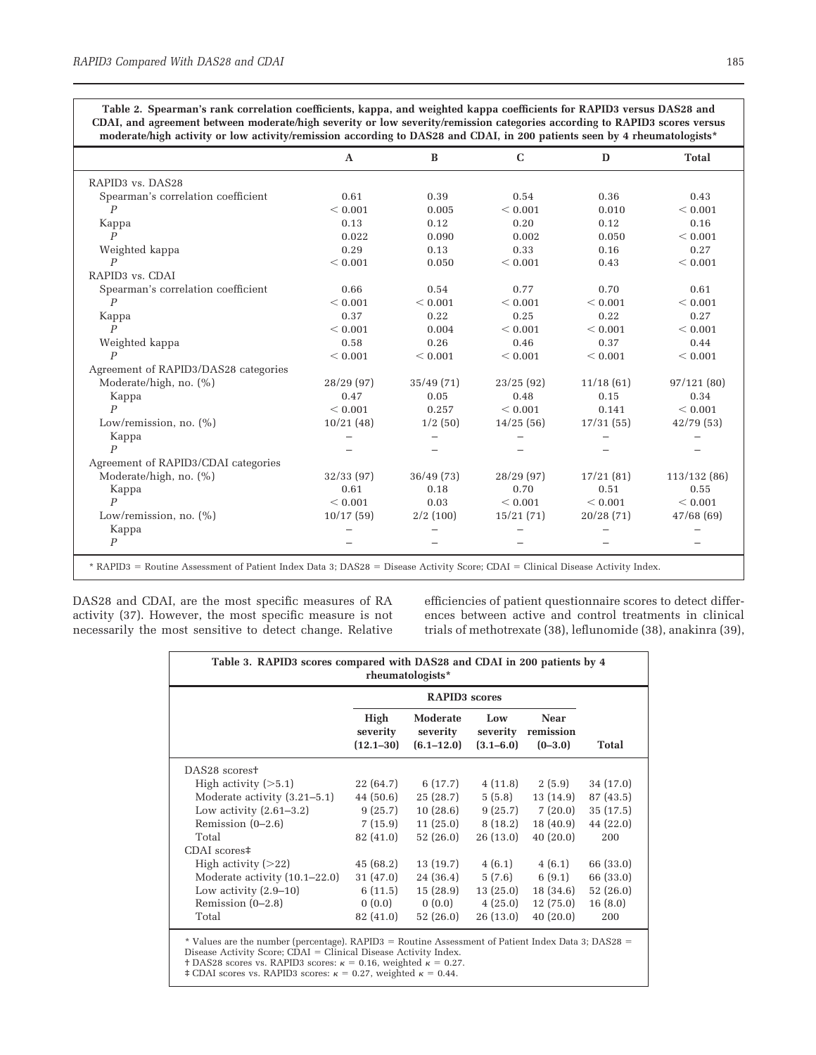**Table 2. Spearman's rank correlation coefficients, kappa, and weighted kappa coefficients for RAPID3 versus DAS28 and CDAI, and agreement between moderate/high severity or low severity/remission categories according to RAPID3 scores versus moderate/high activity or low activity/remission according to DAS28 and CDAI, in 200 patients seen by 4 rheumatologists\***

|                                          | $\mathbf{A}$ | B           | $\mathbf C$ | D           | <b>Total</b> |
|------------------------------------------|--------------|-------------|-------------|-------------|--------------|
| RAPID <sub>3</sub> vs. DAS <sub>28</sub> |              |             |             |             |              |
| Spearman's correlation coefficient       | 0.61         | 0.39        | 0.54        | 0.36        | 0.43         |
| $\overline{P}$                           | ${}< 0.001$  | 0.005       | < 0.001     | 0.010       | ${}< 0.001$  |
| Kappa                                    | 0.13         | 0.12        | 0.20        | 0.12        | 0.16         |
| $\boldsymbol{P}$                         | 0.022        | 0.090       | 0.002       | 0.050       | ${}< 0.001$  |
| Weighted kappa                           | 0.29         | 0.13        | 0.33        | 0.16        | 0.27         |
| $\boldsymbol{P}$                         | ${}< 0.001$  | 0.050       | < 0.001     | 0.43        | ${}< 0.001$  |
| RAPID <sub>3</sub> vs. CDAI              |              |             |             |             |              |
| Spearman's correlation coefficient       | 0.66         | 0.54        | 0.77        | 0.70        | 0.61         |
| $\boldsymbol{P}$                         | ${}< 0.001$  | ${}< 0.001$ | ${}< 0.001$ | < 0.001     | ${}< 0.001$  |
| Kappa                                    | 0.37         | 0.22        | 0.25        | 0.22        | 0.27         |
| $\overline{P}$                           | ${}< 0.001$  | 0.004       | < 0.001     | < 0.001     | ${}< 0.001$  |
| Weighted kappa                           | 0.58         | 0.26        | 0.46        | 0.37        | 0.44         |
| $\boldsymbol{p}$                         | ${}< 0.001$  | < 0.001     | < 0.001     | < 0.001     | < 0.001      |
| Agreement of RAPID3/DAS28 categories     |              |             |             |             |              |
| Moderate/high, no. $(\%)$                | 28/29(97)    | 35/49(71)   | 23/25(92)   | 11/18(61)   | 97/121(80)   |
| Kappa                                    | 0.47         | 0.05        | 0.48        | 0.15        | 0.34         |
| $\boldsymbol{p}$                         | ${}< 0.001$  | 0.257       | ${}< 0.001$ | 0.141       | ${}< 0.001$  |
| Low/remission, no. $(\%)$                | 10/21(48)    | 1/2(50)     | 14/25(56)   | 17/31(55)   | 42/79(53)    |
| Kappa                                    |              |             |             |             |              |
| $\boldsymbol{p}$                         |              |             |             |             |              |
| Agreement of RAPID3/CDAI categories      |              |             |             |             |              |
| Moderate/high, no. (%)                   | 32/33(97)    | 36/49(73)   | 28/29(97)   | 17/21(81)   | 113/132 (86) |
| Kappa                                    | 0.61         | 0.18        | 0.70        | 0.51        | 0.55         |
| $\boldsymbol{p}$                         | ${}< 0.001$  | 0.03        | ${}< 0.001$ | ${}< 0.001$ | ${}< 0.001$  |
| Low/remission, no. (%)                   | 10/17(59)    | 2/2(100)    | 15/21(71)   | 20/28(71)   | 47/68(69)    |
| Kappa                                    |              |             |             |             |              |
| $\boldsymbol{P}$                         |              |             |             |             |              |

DAS28 and CDAI, are the most specific measures of RA activity (37). However, the most specific measure is not necessarily the most sensitive to detect change. Relative efficiencies of patient questionnaire scores to detect differences between active and control treatments in clinical trials of methotrexate (38), leflunomide (38), anakinra (39),

| Table 3. RAPID3 scores compared with DAS28 and CDAI in 200 patients by 4<br>rheumatologists* |                                   |                                        |                                  |                                       |           |  |  |  |
|----------------------------------------------------------------------------------------------|-----------------------------------|----------------------------------------|----------------------------------|---------------------------------------|-----------|--|--|--|
|                                                                                              |                                   |                                        |                                  |                                       |           |  |  |  |
|                                                                                              | High<br>severity<br>$(12.1 - 30)$ | Moderate<br>severity<br>$(6.1 - 12.0)$ | Low<br>severity<br>$(3.1 - 6.0)$ | <b>Near</b><br>remission<br>$(0-3.0)$ | Total     |  |  |  |
| DAS <sub>28</sub> scorest                                                                    |                                   |                                        |                                  |                                       |           |  |  |  |
| High activity $($ >5.1)                                                                      | 22 (64.7)                         | 6 (17.7)                               | 4(11.8)                          | 2(5.9)                                | 34 (17.0) |  |  |  |
| Moderate activity (3.21–5.1)                                                                 | 44 (50.6)                         | 25(28.7)                               | 5(5.8)                           | 13 (14.9)                             | 87 (43.5) |  |  |  |
| Low activity $(2.61-3.2)$                                                                    | 9(25.7)                           | 10(28.6)                               | 9(25.7)                          | 7(20.0)                               | 35(17.5)  |  |  |  |
| Remission $(0-2.6)$                                                                          | 7(15.9)                           | 11(25.0)                               | 8(18.2)                          | 18(40.9)                              | 44 (22.0) |  |  |  |
| Total                                                                                        | 82 (41.0)                         | 52 (26.0)                              | 26(13.0)                         | 40(20.0)                              | 200       |  |  |  |
| CDAI scores#                                                                                 |                                   |                                        |                                  |                                       |           |  |  |  |
| High activity $(>22)$                                                                        | 45(68.2)                          | 13 (19.7)                              | 4(6.1)                           | 4(6.1)                                | 66 (33.0) |  |  |  |
| Moderate activity (10.1–22.0)                                                                | 31 (47.0)                         | 24 (36.4)                              | 5(7.6)                           | 6(9.1)                                | 66 (33.0) |  |  |  |
| Low activity $(2.9-10)$                                                                      | 6(11.5)                           | 15(28.9)                               | 13(25.0)                         | 18 (34.6)                             | 52(26.0)  |  |  |  |
| Remission $(0-2.8)$                                                                          | 0(0.0)                            | 0(0.0)                                 | 4(25.0)                          | 12(75.0)                              | 16(8.0)   |  |  |  |
| Total                                                                                        | 82 (41.0)                         | 52 (26.0)                              | 26(13.0)                         | 40(20.0)                              | 200       |  |  |  |

 $*$  Values are the number (percentage). RAPID3 = Routine Assessment of Patient Index Data 3; DAS28 =

Disease Activity Score;  $C\hat{D}AI = C\hat{I}$  Disease Activity Index.

† DAS28 scores vs. RAPID3 scores:  $\kappa = 0.16$ , weighted  $\kappa = 0.27$ .<br>‡ CDAI scores vs. RAPID3 scores:  $\kappa = 0.27$ , weighted  $\kappa = 0.44$ .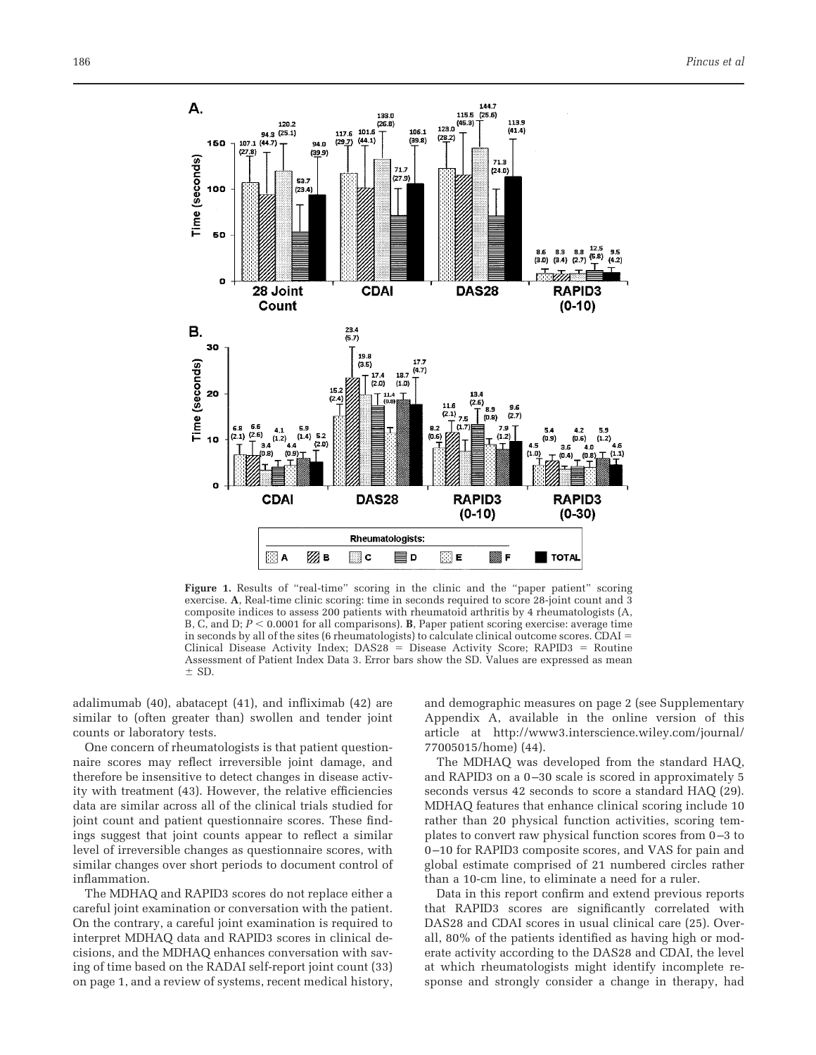

**Figure 1.** Results of "real-time" scoring in the clinic and the "paper patient" scoring exercise. **A**, Real-time clinic scoring: time in seconds required to score 28-joint count and 3 composite indices to assess 200 patients with rheumatoid arthritis by 4 rheumatologists (A, B, C, and D;  $P < 0.0001$  for all comparisons). **B**, Paper patient scoring exercise: average time in seconds by all of the sites (6 rheumatologists) to calculate clinical outcome scores. CDAI Clinical Disease Activity Index;  $DAS28 =$  Disease Activity Score;  $RAPID3 =$  Routine Assessment of Patient Index Data 3. Error bars show the SD. Values are expressed as mean  $\pm$  SD.

adalimumab (40), abatacept (41), and infliximab (42) are similar to (often greater than) swollen and tender joint counts or laboratory tests.

One concern of rheumatologists is that patient questionnaire scores may reflect irreversible joint damage, and therefore be insensitive to detect changes in disease activity with treatment (43). However, the relative efficiencies data are similar across all of the clinical trials studied for joint count and patient questionnaire scores. These findings suggest that joint counts appear to reflect a similar level of irreversible changes as questionnaire scores, with similar changes over short periods to document control of inflammation.

The MDHAQ and RAPID3 scores do not replace either a careful joint examination or conversation with the patient. On the contrary, a careful joint examination is required to interpret MDHAQ data and RAPID3 scores in clinical decisions, and the MDHAQ enhances conversation with saving of time based on the RADAI self-report joint count (33) on page 1, and a review of systems, recent medical history, and demographic measures on page 2 (see Supplementary Appendix A, available in the online version of this article at http://www3.interscience.wiley.com/journal/ 77005015/home) (44).

The MDHAQ was developed from the standard HAQ, and RAPID3 on a 0-30 scale is scored in approximately 5 seconds versus 42 seconds to score a standard HAQ (29). MDHAQ features that enhance clinical scoring include 10 rather than 20 physical function activities, scoring templates to convert raw physical function scores from 0 –3 to 0 –10 for RAPID3 composite scores, and VAS for pain and global estimate comprised of 21 numbered circles rather than a 10-cm line, to eliminate a need for a ruler.

Data in this report confirm and extend previous reports that RAPID3 scores are significantly correlated with DAS28 and CDAI scores in usual clinical care (25). Overall, 80% of the patients identified as having high or moderate activity according to the DAS28 and CDAI, the level at which rheumatologists might identify incomplete response and strongly consider a change in therapy, had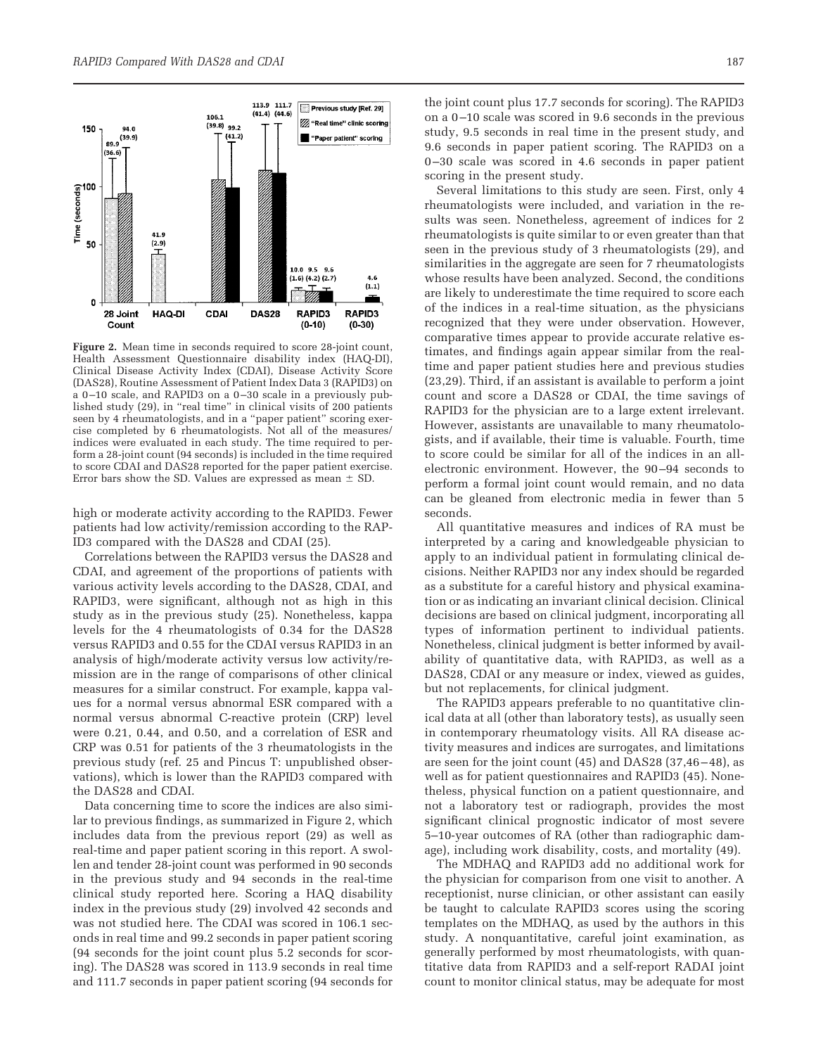

**Figure 2.** Mean time in seconds required to score 28-joint count, Health Assessment Questionnaire disability index (HAQ-DI), Clinical Disease Activity Index (CDAI), Disease Activity Score (DAS28), Routine Assessment of Patient Index Data 3 (RAPID3) on a 0 –10 scale, and RAPID3 on a 0 –30 scale in a previously published study (29), in "real time" in clinical visits of 200 patients seen by 4 rheumatologists, and in a "paper patient" scoring exercise completed by 6 rheumatologists. Not all of the measures/ indices were evaluated in each study. The time required to perform a 28-joint count (94 seconds) is included in the time required to score CDAI and DAS28 reported for the paper patient exercise. Error bars show the SD. Values are expressed as mean  $\pm$  SD.

high or moderate activity according to the RAPID3. Fewer patients had low activity/remission according to the RAP-ID3 compared with the DAS28 and CDAI (25).

Correlations between the RAPID3 versus the DAS28 and CDAI, and agreement of the proportions of patients with various activity levels according to the DAS28, CDAI, and RAPID3, were significant, although not as high in this study as in the previous study (25). Nonetheless, kappa levels for the 4 rheumatologists of 0.34 for the DAS28 versus RAPID3 and 0.55 for the CDAI versus RAPID3 in an analysis of high/moderate activity versus low activity/remission are in the range of comparisons of other clinical measures for a similar construct. For example, kappa values for a normal versus abnormal ESR compared with a normal versus abnormal C-reactive protein (CRP) level were 0.21, 0.44, and 0.50, and a correlation of ESR and CRP was 0.51 for patients of the 3 rheumatologists in the previous study (ref. 25 and Pincus T: unpublished observations), which is lower than the RAPID3 compared with the DAS28 and CDAI.

Data concerning time to score the indices are also similar to previous findings, as summarized in Figure 2, which includes data from the previous report (29) as well as real-time and paper patient scoring in this report. A swollen and tender 28-joint count was performed in 90 seconds in the previous study and 94 seconds in the real-time clinical study reported here. Scoring a HAQ disability index in the previous study (29) involved 42 seconds and was not studied here. The CDAI was scored in 106.1 seconds in real time and 99.2 seconds in paper patient scoring (94 seconds for the joint count plus 5.2 seconds for scoring). The DAS28 was scored in 113.9 seconds in real time and 111.7 seconds in paper patient scoring (94 seconds for

the joint count plus 17.7 seconds for scoring). The RAPID3 on a 0 –10 scale was scored in 9.6 seconds in the previous study, 9.5 seconds in real time in the present study, and 9.6 seconds in paper patient scoring. The RAPID3 on a 0 –30 scale was scored in 4.6 seconds in paper patient scoring in the present study.

Several limitations to this study are seen. First, only 4 rheumatologists were included, and variation in the results was seen. Nonetheless, agreement of indices for 2 rheumatologists is quite similar to or even greater than that seen in the previous study of 3 rheumatologists (29), and similarities in the aggregate are seen for 7 rheumatologists whose results have been analyzed. Second, the conditions are likely to underestimate the time required to score each of the indices in a real-time situation, as the physicians recognized that they were under observation. However, comparative times appear to provide accurate relative estimates, and findings again appear similar from the realtime and paper patient studies here and previous studies (23,29). Third, if an assistant is available to perform a joint count and score a DAS28 or CDAI, the time savings of RAPID3 for the physician are to a large extent irrelevant. However, assistants are unavailable to many rheumatologists, and if available, their time is valuable. Fourth, time to score could be similar for all of the indices in an allelectronic environment. However, the 90 –94 seconds to perform a formal joint count would remain, and no data can be gleaned from electronic media in fewer than 5 seconds.

All quantitative measures and indices of RA must be interpreted by a caring and knowledgeable physician to apply to an individual patient in formulating clinical decisions. Neither RAPID3 nor any index should be regarded as a substitute for a careful history and physical examination or as indicating an invariant clinical decision. Clinical decisions are based on clinical judgment, incorporating all types of information pertinent to individual patients. Nonetheless, clinical judgment is better informed by availability of quantitative data, with RAPID3, as well as a DAS28, CDAI or any measure or index, viewed as guides, but not replacements, for clinical judgment.

The RAPID3 appears preferable to no quantitative clinical data at all (other than laboratory tests), as usually seen in contemporary rheumatology visits. All RA disease activity measures and indices are surrogates, and limitations are seen for the joint count (45) and DAS28 (37,46 – 48), as well as for patient questionnaires and RAPID3 (45). Nonetheless, physical function on a patient questionnaire, and not a laboratory test or radiograph, provides the most significant clinical prognostic indicator of most severe 5–10-year outcomes of RA (other than radiographic damage), including work disability, costs, and mortality (49).

The MDHAQ and RAPID3 add no additional work for the physician for comparison from one visit to another. A receptionist, nurse clinician, or other assistant can easily be taught to calculate RAPID3 scores using the scoring templates on the MDHAQ, as used by the authors in this study. A nonquantitative, careful joint examination, as generally performed by most rheumatologists, with quantitative data from RAPID3 and a self-report RADAI joint count to monitor clinical status, may be adequate for most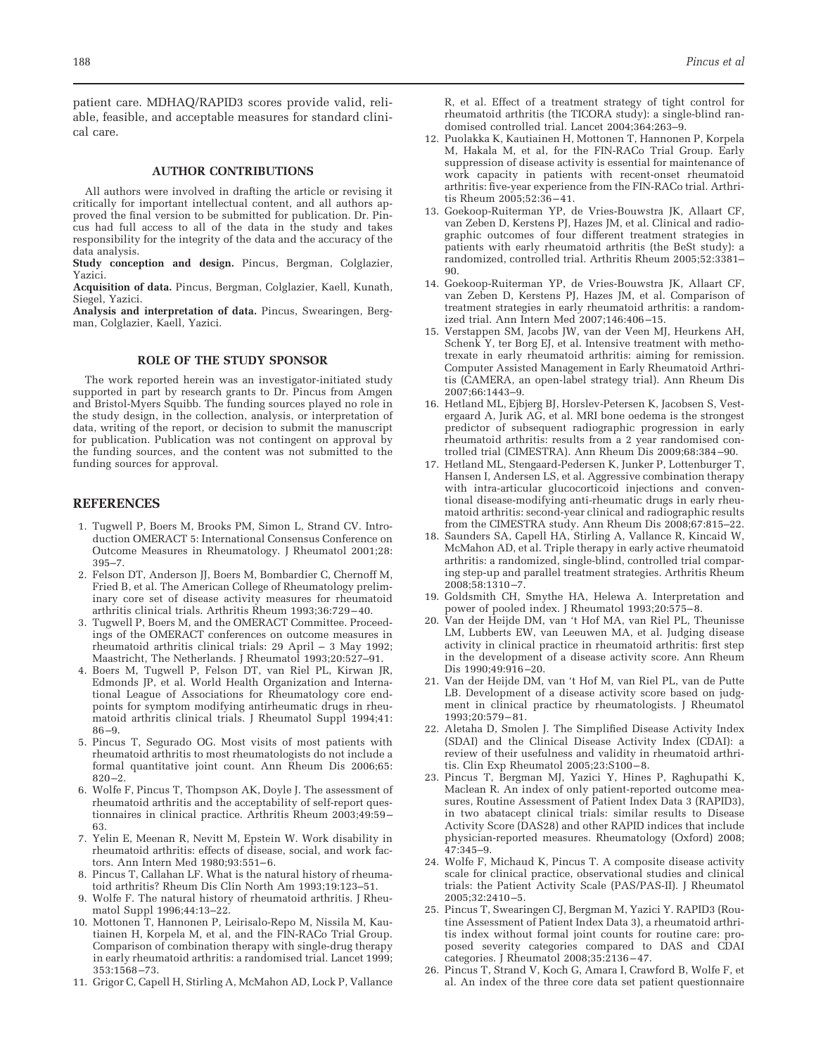patient care. MDHAQ/RAPID3 scores provide valid, reliable, feasible, and acceptable measures for standard clinical care.

#### **AUTHOR CONTRIBUTIONS**

All authors were involved in drafting the article or revising it critically for important intellectual content, and all authors approved the final version to be submitted for publication. Dr. Pincus had full access to all of the data in the study and takes responsibility for the integrity of the data and the accuracy of the data analysis.

**Study conception and design.** Pincus, Bergman, Colglazier, Yazici.

**Acquisition of data.** Pincus, Bergman, Colglazier, Kaell, Kunath, Siegel, Yazici.

**Analysis and interpretation of data.** Pincus, Swearingen, Bergman, Colglazier, Kaell, Yazici.

#### **ROLE OF THE STUDY SPONSOR**

The work reported herein was an investigator-initiated study supported in part by research grants to Dr. Pincus from Amgen and Bristol-Myers Squibb. The funding sources played no role in the study design, in the collection, analysis, or interpretation of data, writing of the report, or decision to submit the manuscript for publication. Publication was not contingent on approval by the funding sources, and the content was not submitted to the funding sources for approval.

#### **REFERENCES**

- 1. Tugwell P, Boers M, Brooks PM, Simon L, Strand CV. Introduction OMERACT 5: International Consensus Conference on Outcome Measures in Rheumatology. J Rheumatol 2001;28: 395–7.
- 2. Felson DT, Anderson JJ, Boers M, Bombardier C, Chernoff M, Fried B, et al. The American College of Rheumatology preliminary core set of disease activity measures for rheumatoid arthritis clinical trials. Arthritis Rheum 1993;36:729 – 40.
- 3. Tugwell P, Boers M, and the OMERACT Committee. Proceedings of the OMERACT conferences on outcome measures in rheumatoid arthritis clinical trials: 29 April – 3 May 1992; Maastricht, The Netherlands. J Rheumatol 1993;20:527–91.
- 4. Boers M, Tugwell P, Felson DT, van Riel PL, Kirwan JR, Edmonds JP, et al. World Health Organization and International League of Associations for Rheumatology core endpoints for symptom modifying antirheumatic drugs in rheumatoid arthritis clinical trials. J Rheumatol Suppl 1994;41: 86 –9.
- 5. Pincus T, Segurado OG. Most visits of most patients with rheumatoid arthritis to most rheumatologists do not include a formal quantitative joint count. Ann Rheum Dis 2006;65:  $820 - 2.$
- 6. Wolfe F, Pincus T, Thompson AK, Doyle J. The assessment of rheumatoid arthritis and the acceptability of self-report questionnaires in clinical practice. Arthritis Rheum 2003;49:59 – 63.
- 7. Yelin E, Meenan R, Nevitt M, Epstein W. Work disability in rheumatoid arthritis: effects of disease, social, and work factors. Ann Intern Med 1980;93:551-6.
- 8. Pincus T, Callahan LF. What is the natural history of rheumatoid arthritis? Rheum Dis Clin North Am 1993;19:123–51.
- 9. Wolfe F. The natural history of rheumatoid arthritis. J Rheumatol Suppl 1996;44:13–22.
- 10. Mottonen T, Hannonen P, Leirisalo-Repo M, Nissila M, Kautiainen H, Korpela M, et al, and the FIN-RACo Trial Group. Comparison of combination therapy with single-drug therapy in early rheumatoid arthritis: a randomised trial. Lancet 1999; 353:1568 –73.
- 11. Grigor C, Capell H, Stirling A, McMahon AD, Lock P, Vallance

R, et al. Effect of a treatment strategy of tight control for rheumatoid arthritis (the TICORA study): a single-blind randomised controlled trial. Lancet 2004;364:263–9.

- 12. Puolakka K, Kautiainen H, Mottonen T, Hannonen P, Korpela M, Hakala M, et al, for the FIN-RACo Trial Group. Early suppression of disease activity is essential for maintenance of work capacity in patients with recent-onset rheumatoid arthritis: five-year experience from the FIN-RACo trial. Arthritis Rheum 2005;52:36 – 41.
- 13. Goekoop-Ruiterman YP, de Vries-Bouwstra JK, Allaart CF, van Zeben D, Kerstens PJ, Hazes JM, et al. Clinical and radiographic outcomes of four different treatment strategies in patients with early rheumatoid arthritis (the BeSt study): a randomized, controlled trial. Arthritis Rheum 2005;52:3381– 90.
- 14. Goekoop-Ruiterman YP, de Vries-Bouwstra JK, Allaart CF, van Zeben D, Kerstens PJ, Hazes JM, et al. Comparison of treatment strategies in early rheumatoid arthritis: a randomized trial. Ann Intern Med 2007;146:406 –15.
- 15. Verstappen SM, Jacobs JW, van der Veen MJ, Heurkens AH, Schenk Y, ter Borg EJ, et al. Intensive treatment with methotrexate in early rheumatoid arthritis: aiming for remission. Computer Assisted Management in Early Rheumatoid Arthritis (CAMERA, an open-label strategy trial). Ann Rheum Dis 2007;66:1443–9.
- 16. Hetland ML, Ejbjerg BJ, Horslev-Petersen K, Jacobsen S, Vestergaard A, Jurik AG, et al. MRI bone oedema is the strongest predictor of subsequent radiographic progression in early rheumatoid arthritis: results from a 2 year randomised controlled trial (CIMESTRA). Ann Rheum Dis 2009;68:384 –90.
- 17. Hetland ML, Stengaard-Pedersen K, Junker P, Lottenburger T, Hansen I, Andersen LS, et al. Aggressive combination therapy with intra-articular glucocorticoid injections and conventional disease-modifying anti-rheumatic drugs in early rheumatoid arthritis: second-year clinical and radiographic results from the CIMESTRA study. Ann Rheum Dis 2008;67:815–22.
- 18. Saunders SA, Capell HA, Stirling A, Vallance R, Kincaid W, McMahon AD, et al. Triple therapy in early active rheumatoid arthritis: a randomized, single-blind, controlled trial comparing step-up and parallel treatment strategies. Arthritis Rheum 2008;58:1310 –7.
- 19. Goldsmith CH, Smythe HA, Helewa A. Interpretation and power of pooled index. J Rheumatol 1993;20:575– 8.
- 20. Van der Heijde DM, van 't Hof MA, van Riel PL, Theunisse LM, Lubberts EW, van Leeuwen MA, et al. Judging disease activity in clinical practice in rheumatoid arthritis: first step in the development of a disease activity score. Ann Rheum Dis 1990;49:916 –20.
- 21. Van der Heijde DM, van 't Hof M, van Riel PL, van de Putte LB. Development of a disease activity score based on judgment in clinical practice by rheumatologists. J Rheumatol 1993;20:579 – 81.
- 22. Aletaha D, Smolen J. The Simplified Disease Activity Index (SDAI) and the Clinical Disease Activity Index (CDAI): a review of their usefulness and validity in rheumatoid arthritis. Clin Exp Rheumatol 2005;23:S100 – 8.
- 23. Pincus T, Bergman MJ, Yazici Y, Hines P, Raghupathi K, Maclean R. An index of only patient-reported outcome measures, Routine Assessment of Patient Index Data 3 (RAPID3), in two abatacept clinical trials: similar results to Disease Activity Score (DAS28) and other RAPID indices that include physician-reported measures. Rheumatology (Oxford) 2008; 47:345–9.
- 24. Wolfe F, Michaud K, Pincus T. A composite disease activity scale for clinical practice, observational studies and clinical trials: the Patient Activity Scale (PAS/PAS-II). J Rheumatol 2005;32:2410 –5.
- 25. Pincus T, Swearingen CJ, Bergman M, Yazici Y. RAPID3 (Routine Assessment of Patient Index Data 3), a rheumatoid arthritis index without formal joint counts for routine care: proposed severity categories compared to DAS and CDAI categories. J Rheumatol 2008;35:2136 – 47.
- 26. Pincus T, Strand V, Koch G, Amara I, Crawford B, Wolfe F, et al. An index of the three core data set patient questionnaire